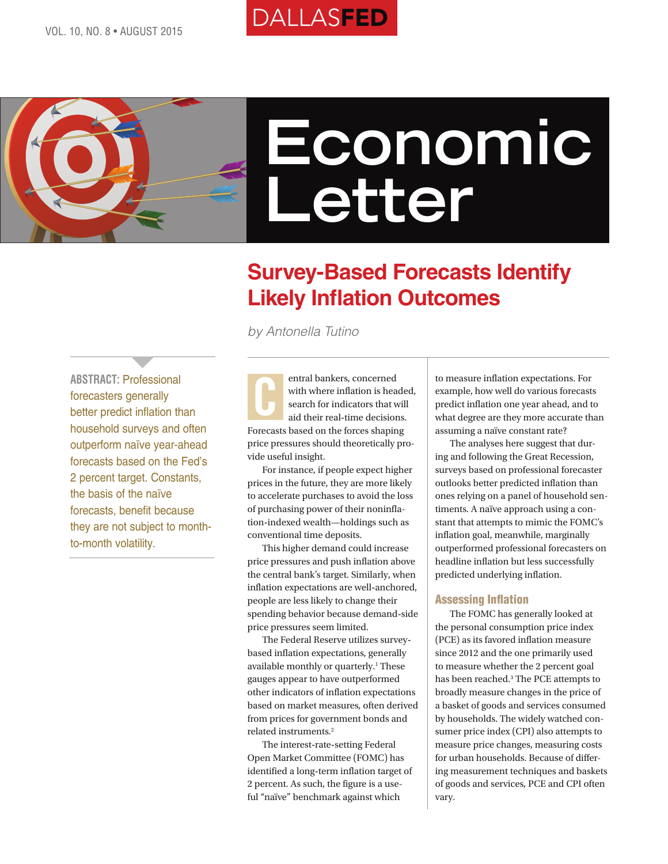# **DALLASFED**



# **Economic Letter**

# **Survey-Based Forecasts Identify Likely Inflation Outcomes**

*by Antonella Tutino*

**ABSTRACT:** Professional forecasters generally better predict inflation than household surveys and often outperform naïve year-ahead forecasts based on the Fed's 2 percent target. Constants, the basis of the naïve forecasts, benefit because they are not subject to monthto-month volatility.

 $\overline{\phantom{a}}$ 

entral bankers, concerned with where inflation is headed, search for indicators that will aid their real**-**time decisions. Forecasts based on the forces shaping price pressures should theoretically provide useful insight. C

For instance, if people expect higher prices in the future, they are more likely to accelerate purchases to avoid the loss of purchasing power of their noninflation**-**indexed wealth—holdings such as conventional time deposits.

This higher demand could increase price pressures and push inflation above the central bank's target. Similarly, when inflation expectations are well**-**anchored, people are less likely to change their spending behavior because demand**-**side price pressures seem limited.

The Federal Reserve utilizes surveybased inflation expectations, generally available monthly or quarterly.<sup>1</sup> These gauges appear to have outperformed other indicators of inflation expectations based on market measures, often derived from prices for government bonds and related instruments.2

The interest**-**rate**-**setting Federal Open Market Committee (FOMC) has identified a long**-**term inflation target of 2 percent. As such, the figure is a useful "naïve" benchmark against which

to measure inflation expectations. For example, how well do various forecasts predict inflation one year ahead, and to what degree are they more accurate than assuming a naïve constant rate?

The analyses here suggest that during and following the Great Recession, surveys based on professional forecaster outlooks better predicted inflation than ones relying on a panel of household sentiments. A naïve approach using a constant that attempts to mimic the FOMC's inflation goal, meanwhile, marginally outperformed professional forecasters on headline inflation but less successfully predicted underlying inflation.

# Assessing Inflation

The FOMC has generally looked at the personal consumption price index (PCE) as its favored inflation measure since 2012 and the one primarily used to measure whether the 2 percent goal has been reached.3 The PCE attempts to broadly measure changes in the price of a basket of goods and services consumed by households. The widely watched consumer price index (CPI) also attempts to measure price changes, measuring costs for urban households. Because of differing measurement techniques and baskets of goods and services, PCE and CPI often vary.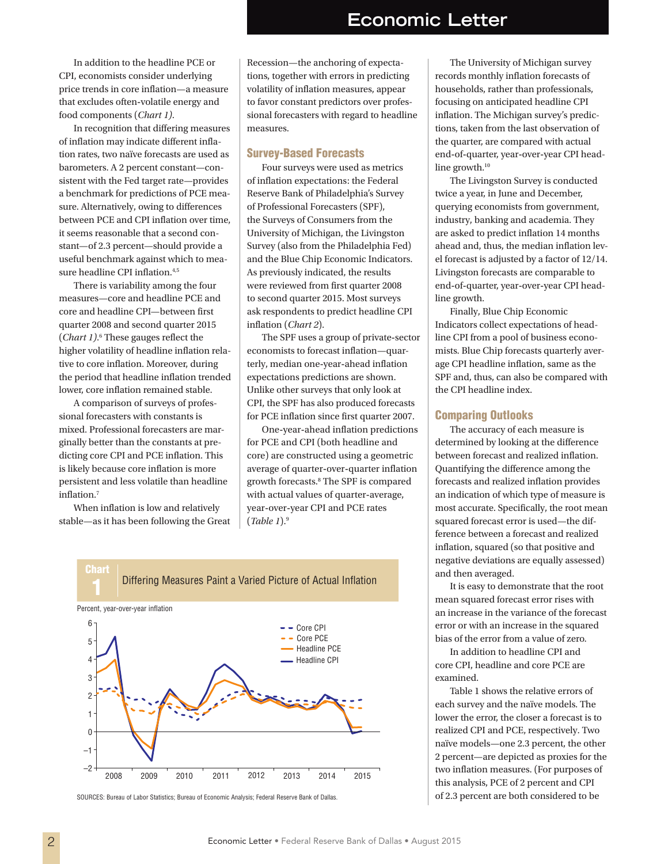In addition to the headline PCE or CPI, economists consider underlying price trends in core inflation—a measure that excludes often**-**volatile energy and food components (*Chart 1)*.

In recognition that differing measures of inflation may indicate different inflation rates, two naïve forecasts are used as barometers. A 2 percent constant—consistent with the Fed target rate—provides a benchmark for predictions of PCE measure. Alternatively, owing to differences between PCE and CPI inflation over time, it seems reasonable that a second constant—of 2.3 percent—should provide a useful benchmark against which to measure headline CPI inflation.<sup>4,5</sup>

There is variability among the four measures—core and headline PCE and core and headline CPI—between first quarter 2008 and second quarter 2015 (*Chart 1*).<sup>6</sup> These gauges reflect the higher volatility of headline inflation relative to core inflation. Moreover, during the period that headline inflation trended lower, core inflation remained stable.

A comparison of surveys of professional forecasters with constants is mixed. Professional forecasters are marginally better than the constants at predicting core CPI and PCE inflation. This is likely because core inflation is more persistent and less volatile than headline inflation.7

When inflation is low and relatively stable—as it has been following the Great Recession—the anchoring of expectations, together with errors in predicting volatility of inflation measures, appear to favor constant predictors over professional forecasters with regard to headline measures.

### Survey-Based Forecasts

Four surveys were used as metrics of inflation expectations: the Federal Reserve Bank of Philadelphia's Survey of Professional Forecasters (SPF), the Surveys of Consumers from the University of Michigan, the Livingston Survey (also from the Philadelphia Fed) and the Blue Chip Economic Indicators. As previously indicated, the results were reviewed from first quarter 2008 to second quarter 2015. Most surveys ask respondents to predict headline CPI inflation (*Chart 2*).

The SPF uses a group of private**-**sector economists to forecast inflation—quarterly, median one**-**year**-**ahead inflation expectations predictions are shown. Unlike other surveys that only look at CPI, the SPF has also produced forecasts for PCE inflation since first quarter 2007.

One**-**year**-**ahead inflation predictions for PCE and CPI (both headline and core) are constructed using a geometric average of quarter**-**over**-**quarter inflation growth forecasts.8 The SPF is compared with actual values of quarter**-**average, year**-**over**-**year CPI and PCE rates (*Table 1*).9



SOURCES: Bureau of Labor Statistics; Bureau of Economic Analysis; Federal Reserve Bank of Dallas.

The University of Michigan survey records monthly inflation forecasts of households, rather than professionals, focusing on anticipated headline CPI inflation. The Michigan survey's predictions, taken from the last observation of the quarter, are compared with actual end**-**of**-**quarter, year**-**over**-**year CPI headline growth.<sup>10</sup>

The Livingston Survey is conducted twice a year, in June and December, querying economists from government, industry, banking and academia. They are asked to predict inflation 14 months ahead and, thus, the median inflation level forecast is adjusted by a factor of 12/14. Livingston forecasts are comparable to end**-**of**-**quarter, year**-**over**-**year CPI headline growth.

Finally, Blue Chip Economic Indicators collect expectations of headline CPI from a pool of business economists. Blue Chip forecasts quarterly average CPI headline inflation, same as the SPF and, thus, can also be compared with the CPI headline index.

#### Comparing Outlooks

The accuracy of each measure is determined by looking at the difference between forecast and realized inflation. Quantifying the difference among the forecasts and realized inflation provides an indication of which type of measure is most accurate. Specifically, the root mean squared forecast error is used—the difference between a forecast and realized inflation, squared (so that positive and negative deviations are equally assessed) and then averaged.

It is easy to demonstrate that the root mean squared forecast error rises with an increase in the variance of the forecast error or with an increase in the squared bias of the error from a value of zero.

In addition to headline CPI and core CPI, headline and core PCE are examined.

Table 1 shows the relative errors of each survey and the naïve models. The lower the error, the closer a forecast is to realized CPI and PCE, respectively. Two naïve models—one 2.3 percent, the other 2 percent—are depicted as proxies for the two inflation measures. (For purposes of this analysis, PCE of 2 percent and CPI of 2.3 percent are both considered to be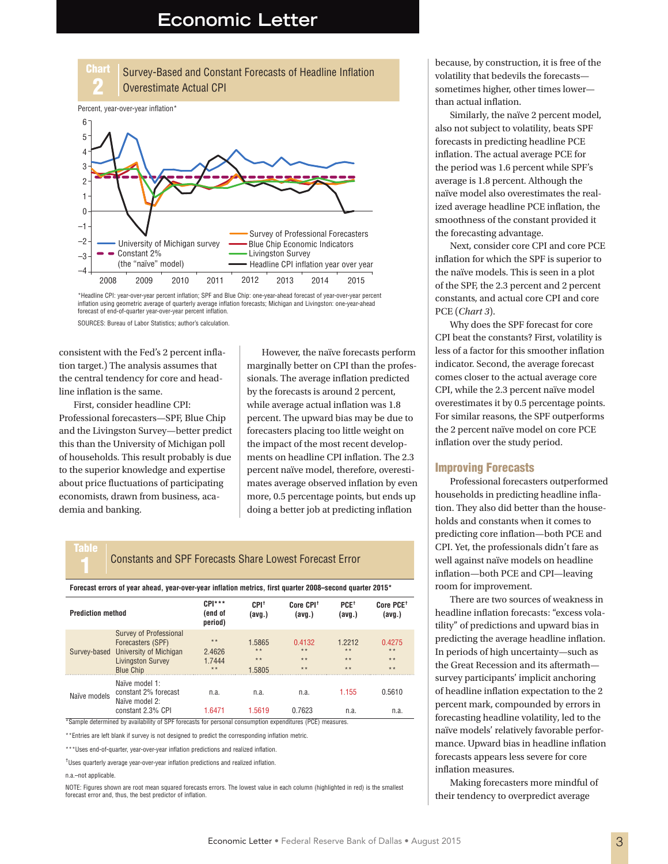

\*Headline CPI: year-over-year percent inflation; SPF and Blue Chip: one-year-ahead forecast of year-over-year percent inflation using geometric average of quarterly average inflation forecasts; Michigan and Livingston: one-year-ahead forecast of end-of-quarter year-over-year percent inflation.

SOURCES: Bureau of Labor Statistics; author's calculation.

consistent with the Fed's 2 percent inflation target.) The analysis assumes that the central tendency for core and headline inflation is the same.

First, consider headline CPI: Professional forecasters—SPF, Blue Chip and the Livingston Survey—better predict this than the University of Michigan poll of households. This result probably is due to the superior knowledge and expertise about price fluctuations of participating economists, drawn from business, academia and banking.

However, the naïve forecasts perform marginally better on CPI than the professionals. The average inflation predicted by the forecasts is around 2 percent, while average actual inflation was 1.8 percent. The upward bias may be due to forecasters placing too little weight on the impact of the most recent developments on headline CPI inflation. The 2.3 percent naïve model, therefore, overestimates average observed inflation by even more, 0.5 percentage points, but ends up doing a better job at predicting inflation

# 1 Constants and SPF Forecasts Share Lowest Forecast Error

**Forecast errors of year ahead, year-over-year inflation metrics, first quarter 2008–second quarter 2015\***

| <b>Prediction method</b> |                                                                                                                              | $CPI***$<br>(end of<br>period)     | $CPI+$<br>(avg.)                   | Core CPI <sup>+</sup><br>(avg.)  | $PCE^+$<br>(avg.)                 | Core PCE <sup>+</sup><br>(avg.) |
|--------------------------|------------------------------------------------------------------------------------------------------------------------------|------------------------------------|------------------------------------|----------------------------------|-----------------------------------|---------------------------------|
| Survey-based             | Survey of Professional<br>Forecasters (SPF)<br><b>University of Michigan</b><br><b>Livingston Survey</b><br><b>Blue Chip</b> | $* *$<br>2.4626<br>1.7444<br>$* *$ | 1.5865<br>$* *$<br>$* *$<br>1.5805 | 0.4132<br>$* *$<br>$**$<br>$* *$ | 1 2212<br>$* *$<br>$* *$<br>$* *$ | 0.4275<br>$**$<br>$**$<br>$**$  |
| Naïve models             | Naïve model 1:<br>constant 2% forecast<br>Naïve model 2:<br>constant 2.3% CPI                                                | n.a.<br>16471                      | n.a.<br>1.5619                     | n.a.<br>0 7623                   | 1.155<br>n.a.                     | 0.5610<br>n.a.                  |

\*Sample determined by availability of SPF forecasts for personal consumption expenditures (PCE) measures.

\*\*Entries are left blank if survey is not designed to predict the corresponding inflation metric.

\*\*\*Uses end-of-quarter, year-over-year inflation predictions and realized inflation.

†Uses quarterly average year-over-year inflation predictions and realized inflation.

#### n.a.–not applicable.

Table

NOTE: Figures shown are root mean squared forecasts errors. The lowest value in each column (highlighted in red) is the smallest forecast error and, thus, the best predictor of inflation.

because, by construction, it is free of the volatility that bedevils the forecasts sometimes higher, other times lower than actual inflation.

Similarly, the naïve 2 percent model, also not subject to volatility, beats SPF forecasts in predicting headline PCE inflation. The actual average PCE for the period was 1.6 percent while SPF's average is 1.8 percent. Although the naïve model also overestimates the realized average headline PCE inflation, the smoothness of the constant provided it the forecasting advantage.

Next, consider core CPI and core PCE inflation for which the SPF is superior to the naïve models. This is seen in a plot of the SPF, the 2.3 percent and 2 percent constants, and actual core CPI and core PCE (*Chart 3*).

Why does the SPF forecast for core CPI beat the constants? First, volatility is less of a factor for this smoother inflation indicator. Second, the average forecast comes closer to the actual average core CPI, while the 2.3 percent naïve model overestimates it by 0.5 percentage points. For similar reasons, the SPF outperforms the 2 percent naïve model on core PCE inflation over the study period.

#### Improving Forecasts

Professional forecasters outperformed households in predicting headline inflation. They also did better than the households and constants when it comes to predicting core inflation—both PCE and CPI. Yet, the professionals didn't fare as well against naïve models on headline inflation—both PCE and CPI—leaving room for improvement.

There are two sources of weakness in headline inflation forecasts: "excess volatility" of predictions and upward bias in predicting the average headline inflation. In periods of high uncertainty—such as the Great Recession and its aftermath survey participants' implicit anchoring of headline inflation expectation to the 2 percent mark, compounded by errors in forecasting headline volatility, led to the naïve models' relatively favorable performance. Upward bias in headline inflation forecasts appears less severe for core inflation measures.

Making forecasters more mindful of their tendency to overpredict average